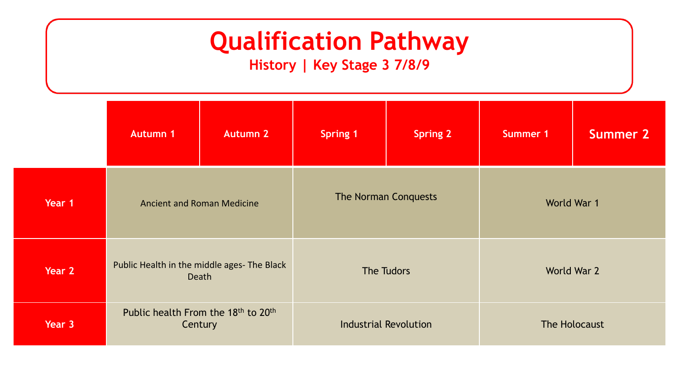**History | Key Stage 3 7/8/9**

|        | <b>Autumn 1</b>                                | <b>Autumn 2</b>                                      | <b>Spring 1</b>              | <b>Spring 2</b> | Summer 1      | <b>Summer 2</b> |  |
|--------|------------------------------------------------|------------------------------------------------------|------------------------------|-----------------|---------------|-----------------|--|
| Year 1 | <b>Ancient and Roman Medicine</b>              |                                                      | <b>The Norman Conquests</b>  |                 | World War 1   |                 |  |
| Year 2 |                                                | Public Health in the middle ages- The Black<br>Death |                              | The Tudors      |               | World War 2     |  |
| Year 3 | Public health From the 18th to 20th<br>Century |                                                      | <b>Industrial Revolution</b> |                 | The Holocaust |                 |  |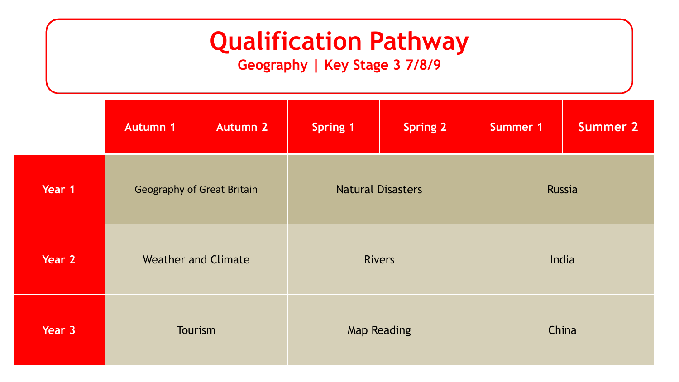**Geography | Key Stage 3 7/8/9**

|        | <b>Autumn 1</b>                   | <b>Autumn 2</b> | <b>Spring 1</b>          | <b>Spring 2</b> | <b>Summer 1</b> | <b>Summer 2</b> |
|--------|-----------------------------------|-----------------|--------------------------|-----------------|-----------------|-----------------|
| Year 1 | <b>Geography of Great Britain</b> |                 | <b>Natural Disasters</b> |                 | Russia          |                 |
| Year 2 | <b>Weather and Climate</b>        |                 | <b>Rivers</b>            |                 | India           |                 |
| Year 3 | Tourism                           |                 | <b>Map Reading</b>       |                 | China           |                 |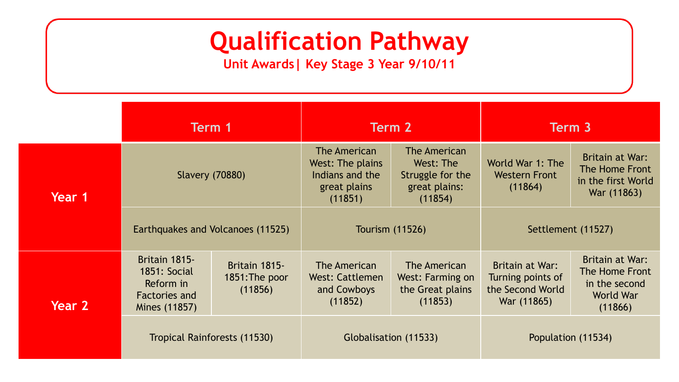**Unit Awards| Key Stage 3 Year 9/10/11**

|        | Term 1                                                                              |                                            | Term 2                                                                         |                                                                           | Term 3                                                                  |                                                                            |
|--------|-------------------------------------------------------------------------------------|--------------------------------------------|--------------------------------------------------------------------------------|---------------------------------------------------------------------------|-------------------------------------------------------------------------|----------------------------------------------------------------------------|
| Year 1 | <b>Slavery (70880)</b>                                                              |                                            | The American<br>West: The plains<br>Indians and the<br>great plains<br>(11851) | The American<br>West: The<br>Struggle for the<br>great plains:<br>(11854) | World War 1: The<br><b>Western Front</b><br>(11864)                     | Britain at War:<br>The Home Front<br>in the first World<br>War (11863)     |
|        | Earthquakes and Volcanoes (11525)                                                   |                                            | <b>Tourism (11526)</b>                                                         |                                                                           | Settlement (11527)                                                      |                                                                            |
| Year 2 | Britain 1815-<br><b>1851: Social</b><br>Reform in<br>Factories and<br>Mines (11857) | Britain 1815-<br>1851: The poor<br>(11856) | The American<br><b>West: Cattlemen</b><br>and Cowboys<br>(11852)               | The American<br>West: Farming on<br>the Great plains<br>(11853)           | Britain at War:<br>Turning points of<br>the Second World<br>War (11865) | Britain at War:<br>The Home Front<br>in the second<br>World War<br>(11866) |
|        | Tropical Rainforests (11530)                                                        |                                            | Globalisation (11533)                                                          |                                                                           | Population (11534)                                                      |                                                                            |